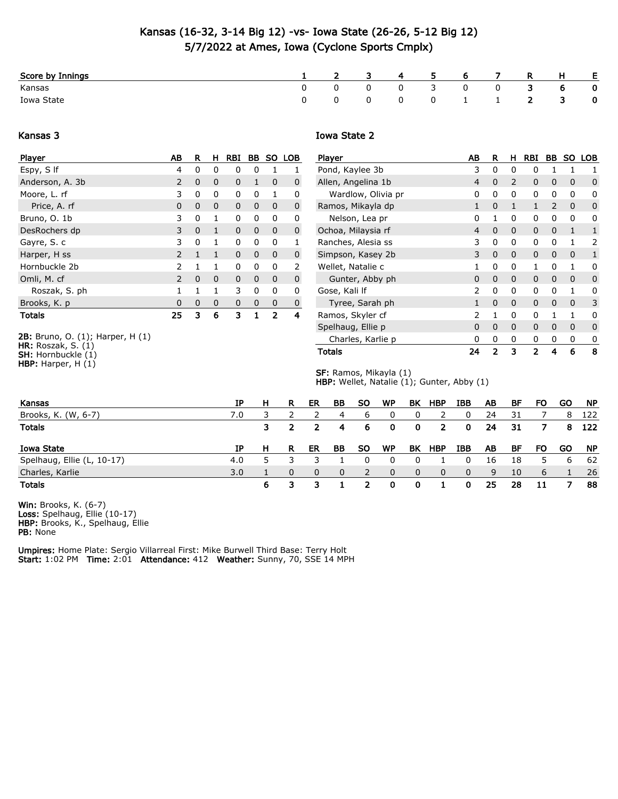# Kansas (16-32, 3-14 Big 12) -vs- Iowa State (26-26, 5-12 Big 12) 5/7/2022 at Ames, Iowa (Cyclone Sports Cmplx)

| Score by Innings |  | $\overline{\mathbf{3}}$ |              | 4 5 6 7                 |                         | <b>R</b>                | H | - E -       |
|------------------|--|-------------------------|--------------|-------------------------|-------------------------|-------------------------|---|-------------|
| Kansas           |  |                         | $0 \qquad 3$ | $\overline{\mathbf{0}}$ | $\overline{\mathbf{0}}$ | $\overline{\mathbf{3}}$ | 6 | $\mathbf 0$ |
| Iowa State       |  |                         |              | 0 0 1 1 2 3             |                         |                         |   | $\mathbf 0$ |

#### Kansas 3

## Player AB R H RBI BB SO LOB Espy, S If 4 0 0 0 0 1 1 Anderson, A. 3b 2 0 0 0 1 0 0 Moore, L. rf 3 0 0 0 0 1 0 Price, A. rf 0 0 0 0 0 0 0 Bruno, O. 1b 3 0 1 0 0 0 0 DesRochers dp 3 0 1 0 0 0 0 Gayre, S. c 3 0 1 0 0 0 1 Harper, H ss 2 1 1 0 0 0 0 Hornbuckle 2b 2 1 1 0 0 0 2 Omli, M. cf 2 0 0 0 0 0 0 0 Roszak, S. ph 1 1 1 1 3 0 0 0 Brooks, K. p 0 0 0 0 0 0 0 Totals 25 3 6 3 1 2 4

2B: Bruno, O. (1); Harper, H (1) HR: Roszak, S. (1) **SH:** Hornbuckle  $(1)$ 

HBP: Harper, H (1)

### Iowa State 2

| Player             | ΑВ           | R        | н        | RBI          | BB       | <b>SO</b> | <b>LOB</b> |
|--------------------|--------------|----------|----------|--------------|----------|-----------|------------|
| Pond, Kaylee 3b    | 3            | 0        | 0        | 0            | 1        | 1         | 1          |
| Allen, Angelina 1b | 4            | 0        | 2        | 0            | 0        | 0         | 0          |
| Wardlow, Olivia pr | 0            | 0        | 0        | 0            | 0        | 0         | 0          |
| Ramos, Mikayla dp  | 1            | 0        | 1        | $\mathbf{1}$ | 2        | 0         | 0          |
| Nelson, Lea pr     | 0            | 1        | 0        | 0            | 0        | 0         | 0          |
| Ochoa, Milaysia rf | 4            | $\Omega$ | 0        | 0            | 0        | 1         | 1          |
| Ranches, Alesia ss | 3            | 0        | 0        | 0            | 0        | 1         | 2          |
| Simpson, Kasey 2b  | 3            | 0        | $\Omega$ | 0            | 0        | 0         | 1          |
| Wellet, Natalie c  | 1            | 0        | 0        | 1            | 0        | 1         | 0          |
| Gunter, Abby ph    | 0            | 0        | 0        | 0            | $\Omega$ | 0         | 0          |
| Gose, Kali If      | 2            | 0        | 0        | 0            | 0        | 1         | 0          |
| Tyree, Sarah ph    | $\mathbf{1}$ | 0        | 0        | 0            | 0        | 0         | 3          |
| Ramos, Skyler cf   | 2            | 1        | 0        | 0            | 1        | 1         | 0          |
| Spelhaug, Ellie p  | 0            | 0        | 0        | 0            | 0        | 0         | 0          |
| Charles, Karlie p  | 0            | 0        | 0        | 0            | 0        | 0         | 0          |
| Totals             | 24           | 2        | 3        | 2            | 4        | 6         | 8          |

SF: Ramos, Mikayla (1) HBP: Wellet, Natalie (1); Gunter, Abby (1)

| Kansas                     | ΙP  | H | R | ER | BB. | <b>SO</b> | WP        | BK           | HBP | IBB      | AB | BF | FO | GO | NP        |
|----------------------------|-----|---|---|----|-----|-----------|-----------|--------------|-----|----------|----|----|----|----|-----------|
| Brooks, K. (W, 6-7)        | 7.0 |   |   |    | 4   | ь         |           |              |     |          | 24 | 31 |    | 8  | 122       |
| <b>Totals</b>              |     |   |   | -2 | 4   | -6        | 0         | 0            | 2   | $\Omega$ | 24 | 31 |    | 8  | 122       |
|                            |     |   |   |    |     |           |           |              |     |          |    |    |    |    |           |
| Iowa State                 | ΙP  | H | R | ER | BB. | <b>SO</b> | <b>WP</b> | BK           | HBP | IBB      | AB | BF | FO | GO | <b>NP</b> |
| Spelhaug, Ellie (L, 10-17) | 4.0 |   |   |    |     |           |           |              |     |          | 16 | 18 |    | 6  | -62       |
| Charles, Karlie            | 3.0 |   |   | 0  | 0   |           | 0         | <sup>n</sup> | 0   | 0        | 9  | 10 | 6  |    | -26       |

Win: Brooks, K. (6-7) Loss: Spelhaug, Ellie (10-17) HBP: Brooks, K., Spelhaug, Ellie PB: None

Umpires: Home Plate: Sergio Villarreal First: Mike Burwell Third Base: Terry Holt Start: 1:02 PM Time: 2:01 Attendance: 412 Weather: Sunny, 70, SSE 14 MPH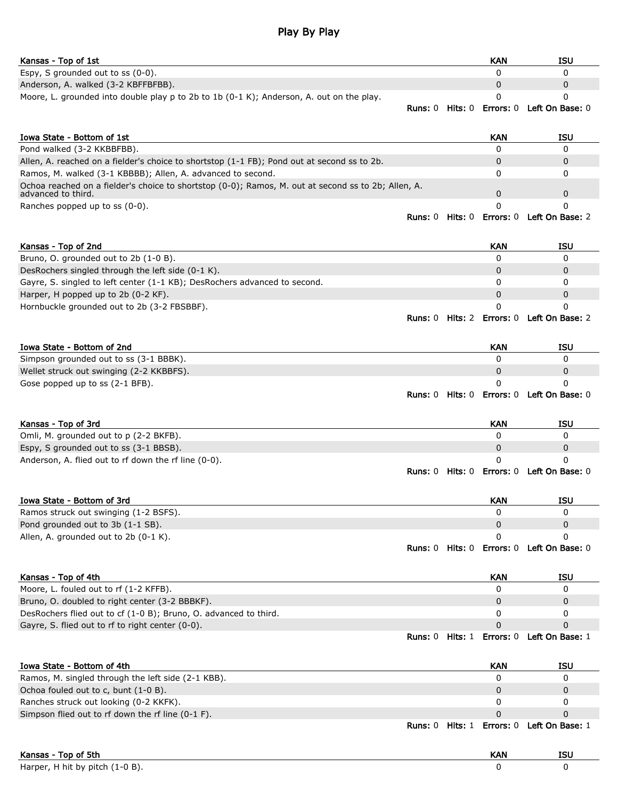# Play By Play

| Kansas - Top of 1st                                                                                                       |                |                | <b>KAN</b>       | <b>ISU</b>                        |
|---------------------------------------------------------------------------------------------------------------------------|----------------|----------------|------------------|-----------------------------------|
| Espy, S grounded out to ss (0-0).                                                                                         |                |                | 0                | 0                                 |
| Anderson, A. walked (3-2 KBFFBFBB).                                                                                       |                |                | 0                | 0                                 |
| Moore, L. grounded into double play $p$ to 2b to 1b (0-1 K); Anderson, A. out on the play.                                |                |                | 0                | 0                                 |
|                                                                                                                           | <b>Runs:</b> 0 | <b>Hits:</b> 0 | Errors: 0        | Left On Base: 0                   |
| Iowa State - Bottom of 1st                                                                                                |                |                | KAN              | <b>ISU</b>                        |
| Pond walked (3-2 KKBBFBB).                                                                                                |                |                | $\Omega$         | 0                                 |
| Allen, A. reached on a fielder's choice to shortstop (1-1 FB); Pond out at second ss to 2b.                               |                |                | 0                | 0                                 |
| Ramos, M. walked (3-1 KBBBB); Allen, A. advanced to second.                                                               |                |                | 0                | 0                                 |
| Ochoa reached on a fielder's choice to shortstop (0-0); Ramos, M. out at second ss to 2b; Allen, A.<br>advanced to third. |                |                | 0                | 0                                 |
| Ranches popped up to ss (0-0).                                                                                            |                |                | 0                | 0                                 |
|                                                                                                                           | <b>Runs:</b> 0 | <b>Hits:</b> 0 | Errors: 0        | Left On Base: 2                   |
| Kansas - Top of 2nd                                                                                                       |                |                | KAN              | <b>ISU</b>                        |
| Bruno, O. grounded out to 2b (1-0 B).                                                                                     |                |                | 0                | 0                                 |
| DesRochers singled through the left side (0-1 K).                                                                         |                |                | $\Omega$         | $\Omega$                          |
| Gayre, S. singled to left center (1-1 KB); DesRochers advanced to second.                                                 |                |                | 0                | 0                                 |
| Harper, H popped up to 2b (0-2 KF).                                                                                       |                |                | $\mathbf 0$      | $\mathbf 0$                       |
| Hornbuckle grounded out to 2b (3-2 FBSBBF).                                                                               |                |                | 0                | 0                                 |
|                                                                                                                           | <b>Runs:</b> 0 |                |                  | Hits: 2 Errors: 0 Left On Base: 2 |
| Iowa State - Bottom of 2nd                                                                                                |                |                | <b>KAN</b>       | <b>ISU</b>                        |
| Simpson grounded out to ss (3-1 BBBK).                                                                                    |                |                | 0                | 0                                 |
| Wellet struck out swinging (2-2 KKBBFS).                                                                                  |                |                | 0                | 0                                 |
| Gose popped up to ss (2-1 BFB).                                                                                           |                |                | 0                | 0                                 |
|                                                                                                                           | <b>Runs: 0</b> | <b>Hits:</b> 0 |                  | <b>Errors: 0 Left On Base: 0</b>  |
| Kansas - Top of 3rd                                                                                                       |                |                | KAN              | <b>ISU</b>                        |
| Omli, M. grounded out to p (2-2 BKFB).                                                                                    |                |                | 0                | 0                                 |
| Espy, S grounded out to ss (3-1 BBSB).                                                                                    |                |                | 0                | 0                                 |
| Anderson, A. flied out to rf down the rf line (0-0).                                                                      | <b>Runs:</b> 0 | <b>Hits:</b> 0 | 0                | 0<br>Errors: 0 Left On Base: 0    |
|                                                                                                                           |                |                |                  |                                   |
| Iowa State - Bottom of 3rd                                                                                                |                |                | KAN              | <b>ISU</b>                        |
| Ramos struck out swinging (1-2 BSFS).<br>Pond grounded out to 3b (1-1 SB).                                                |                |                | 0<br>0           | 0<br>0                            |
| Allen, A. grounded out to 2b (0-1 K).                                                                                     |                |                | 0                | 0                                 |
|                                                                                                                           | <b>Runs: 0</b> | <b>Hits:</b> 0 | <b>Errors: 0</b> | Left On Base: 0                   |
| Kansas - Top of 4th                                                                                                       |                |                | <b>KAN</b>       | <b>ISU</b>                        |
| Moore, L. fouled out to rf (1-2 KFFB).                                                                                    |                |                | $\Omega$         | 0                                 |
| Bruno, O. doubled to right center (3-2 BBBKF).                                                                            |                |                | 0                | 0                                 |
| DesRochers flied out to cf (1-0 B); Bruno, O. advanced to third.                                                          |                |                | 0                | 0                                 |
| Gayre, S. flied out to rf to right center (0-0).                                                                          |                |                | $\mathbf 0$      | $\mathbf{0}$                      |
|                                                                                                                           | <b>Runs: 0</b> | <b>Hits:</b> 1 |                  | Errors: 0 Left On Base: 1         |
| Iowa State - Bottom of 4th                                                                                                |                |                | <b>KAN</b>       | <b>ISU</b>                        |
| Ramos, M. singled through the left side (2-1 KBB).                                                                        |                |                | 0                | 0                                 |
| Ochoa fouled out to c, bunt (1-0 B).                                                                                      |                |                | 0                | 0                                 |
| Ranches struck out looking (0-2 KKFK).                                                                                    |                |                | 0                | 0                                 |
| Simpson flied out to rf down the rf line (0-1 F).                                                                         |                |                | 0                | 0                                 |
|                                                                                                                           | <b>Runs:</b> 0 | Hits: 1        | Errors: 0        | Left On Base: 1                   |

| Kansas - Top of 5th             | KAN | <b>ISL</b> |
|---------------------------------|-----|------------|
| Harper, H hit by pitch (1-0 B). |     |            |